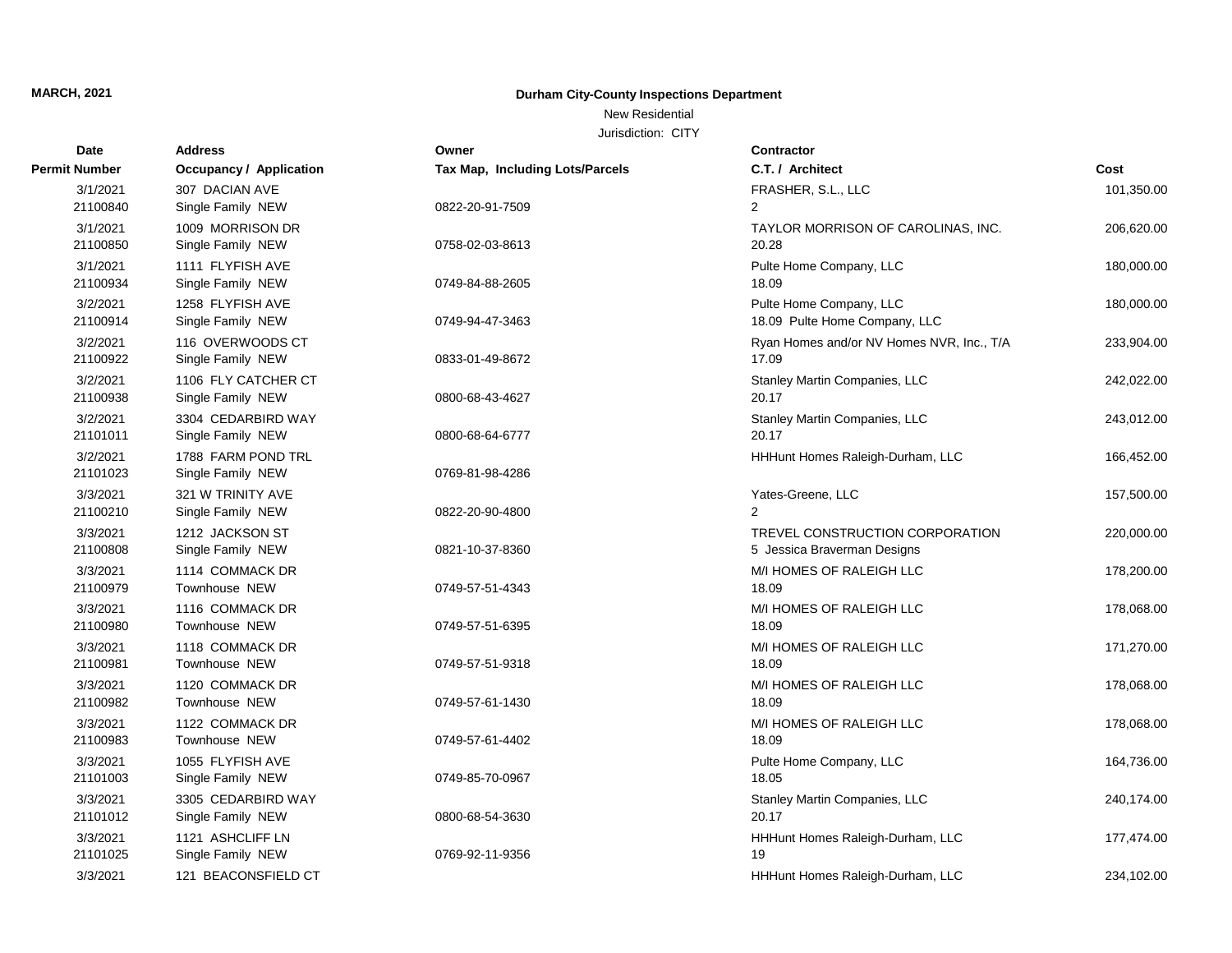## New Residential

| Date                 | <b>Address</b>                 | Owner                           | <b>Contractor</b>                         |            |
|----------------------|--------------------------------|---------------------------------|-------------------------------------------|------------|
| <b>Permit Number</b> | <b>Occupancy / Application</b> | Tax Map, Including Lots/Parcels | C.T. / Architect                          | Cost       |
| 3/1/2021             | 307 DACIAN AVE                 |                                 | FRASHER, S.L., LLC                        | 101,350.00 |
| 21100840             | Single Family NEW              | 0822-20-91-7509                 | 2                                         |            |
| 3/1/2021             | 1009 MORRISON DR               |                                 | TAYLOR MORRISON OF CAROLINAS, INC.        | 206,620.00 |
| 21100850             | Single Family NEW              | 0758-02-03-8613                 | 20.28                                     |            |
| 3/1/2021             | 1111 FLYFISH AVE               |                                 | Pulte Home Company, LLC                   | 180,000.00 |
| 21100934             | Single Family NEW              | 0749-84-88-2605                 | 18.09                                     |            |
| 3/2/2021             | 1258 FLYFISH AVE               |                                 | Pulte Home Company, LLC                   | 180,000.00 |
| 21100914             | Single Family NEW              | 0749-94-47-3463                 | 18.09 Pulte Home Company, LLC             |            |
| 3/2/2021             | 116 OVERWOODS CT               |                                 | Ryan Homes and/or NV Homes NVR, Inc., T/A | 233,904.00 |
| 21100922             | Single Family NEW              | 0833-01-49-8672                 | 17.09                                     |            |
| 3/2/2021             | 1106 FLY CATCHER CT            |                                 | Stanley Martin Companies, LLC             | 242,022.00 |
| 21100938             | Single Family NEW              | 0800-68-43-4627                 | 20.17                                     |            |
| 3/2/2021             | 3304 CEDARBIRD WAY             |                                 | Stanley Martin Companies, LLC             | 243,012.00 |
| 21101011             | Single Family NEW              | 0800-68-64-6777                 | 20.17                                     |            |
| 3/2/2021             | 1788 FARM POND TRL             |                                 | HHHunt Homes Raleigh-Durham, LLC          | 166,452.00 |
| 21101023             | Single Family NEW              | 0769-81-98-4286                 |                                           |            |
| 3/3/2021             | 321 W TRINITY AVE              |                                 | Yates-Greene, LLC                         | 157,500.00 |
| 21100210             | Single Family NEW              | 0822-20-90-4800                 | $\mathcal{P}$                             |            |
| 3/3/2021             | 1212 JACKSON ST                |                                 | TREVEL CONSTRUCTION CORPORATION           | 220,000.00 |
| 21100808             | Single Family NEW              | 0821-10-37-8360                 | 5 Jessica Braverman Designs               |            |
| 3/3/2021             | 1114 COMMACK DR                |                                 | M/I HOMES OF RALEIGH LLC                  | 178,200.00 |
| 21100979             | Townhouse NEW                  | 0749-57-51-4343                 | 18.09                                     |            |
| 3/3/2021             | 1116 COMMACK DR                |                                 | M/I HOMES OF RALEIGH LLC                  | 178,068.00 |
| 21100980             | Townhouse NEW                  | 0749-57-51-6395                 | 18.09                                     |            |
| 3/3/2021             | 1118 COMMACK DR                |                                 | M/I HOMES OF RALEIGH LLC                  | 171,270.00 |
| 21100981             | Townhouse NEW                  | 0749-57-51-9318                 | 18.09                                     |            |
| 3/3/2021             | 1120 COMMACK DR                |                                 | M/I HOMES OF RALEIGH LLC                  | 178,068.00 |
| 21100982             | Townhouse NEW                  | 0749-57-61-1430                 | 18.09                                     |            |
| 3/3/2021             | 1122 COMMACK DR                |                                 | M/I HOMES OF RALEIGH LLC                  | 178,068.00 |
| 21100983             | Townhouse NEW                  | 0749-57-61-4402                 | 18.09                                     |            |
| 3/3/2021             | 1055 FLYFISH AVE               |                                 | Pulte Home Company, LLC                   | 164,736.00 |
| 21101003             | Single Family NEW              | 0749-85-70-0967                 | 18.05                                     |            |
| 3/3/2021             | 3305 CEDARBIRD WAY             |                                 | Stanley Martin Companies, LLC             | 240,174.00 |
| 21101012             | Single Family NEW              | 0800-68-54-3630                 | 20.17                                     |            |
| 3/3/2021             | 1121 ASHCLIFF LN               |                                 | HHHunt Homes Raleigh-Durham, LLC          | 177,474.00 |
| 21101025             | Single Family NEW              | 0769-92-11-9356                 | 19                                        |            |
| 3/3/2021             | 121 BEACONSFIELD CT            |                                 | HHHunt Homes Raleigh-Durham, LLC          | 234,102.00 |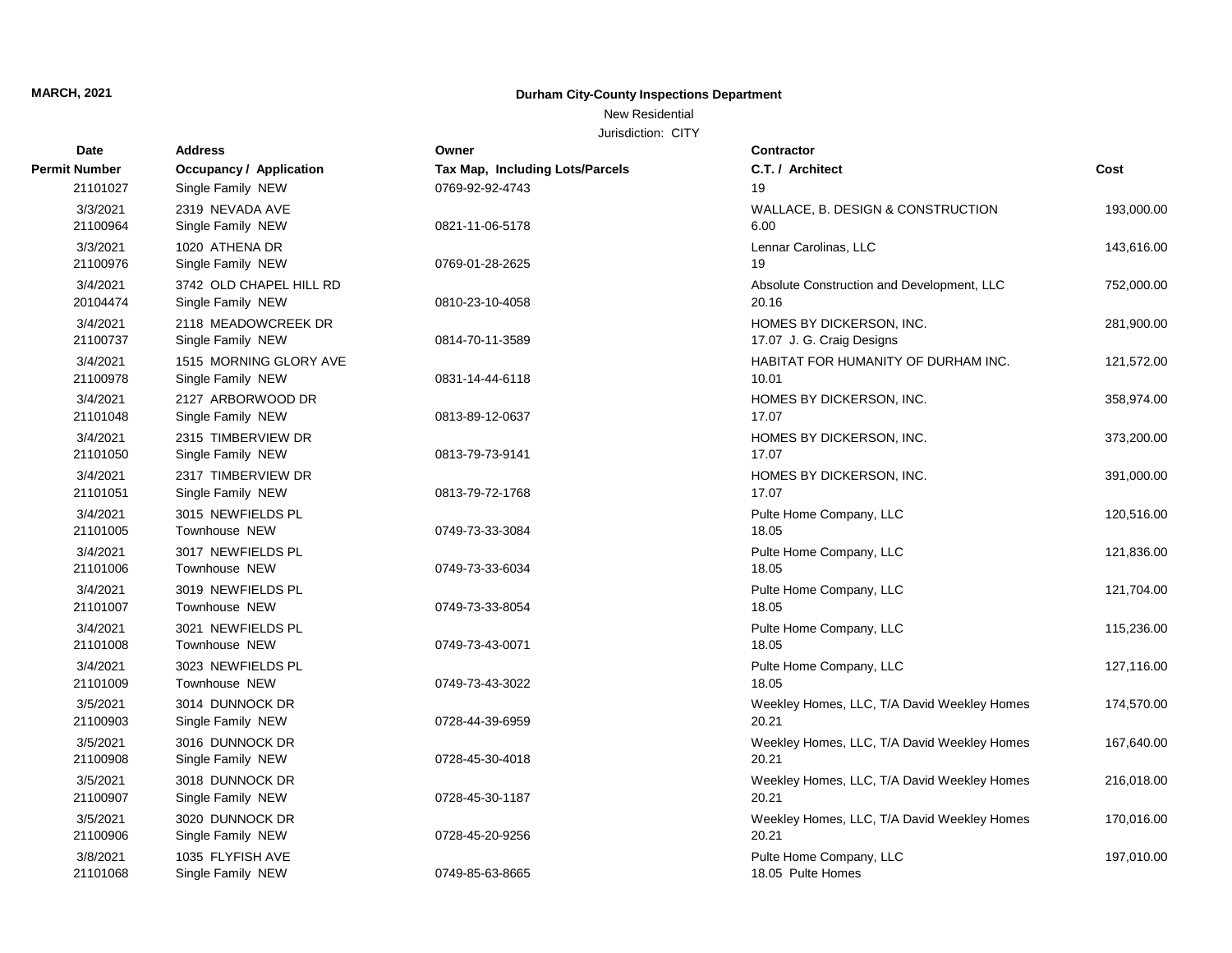## New Residential

| Date                 | <b>Address</b>                               | Owner                           | Contractor                                            |            |
|----------------------|----------------------------------------------|---------------------------------|-------------------------------------------------------|------------|
| <b>Permit Number</b> | <b>Occupancy / Application</b>               | Tax Map, Including Lots/Parcels | C.T. / Architect                                      | Cost       |
| 21101027             | Single Family NEW                            | 0769-92-92-4743                 | 19                                                    |            |
| 3/3/2021<br>21100964 | 2319 NEVADA AVE<br>Single Family NEW         | 0821-11-06-5178                 | WALLACE, B. DESIGN & CONSTRUCTION<br>6.00             | 193,000.00 |
| 3/3/2021<br>21100976 | 1020 ATHENA DR<br>Single Family NEW          | 0769-01-28-2625                 | Lennar Carolinas, LLC<br>19                           | 143,616.00 |
| 3/4/2021<br>20104474 | 3742 OLD CHAPEL HILL RD<br>Single Family NEW | 0810-23-10-4058                 | Absolute Construction and Development, LLC<br>20.16   | 752,000.00 |
| 3/4/2021<br>21100737 | 2118 MEADOWCREEK DR<br>Single Family NEW     | 0814-70-11-3589                 | HOMES BY DICKERSON, INC.<br>17.07 J. G. Craig Designs | 281,900.00 |
| 3/4/2021<br>21100978 | 1515 MORNING GLORY AVE<br>Single Family NEW  | 0831-14-44-6118                 | HABITAT FOR HUMANITY OF DURHAM INC.<br>10.01          | 121,572.00 |
| 3/4/2021<br>21101048 | 2127 ARBORWOOD DR<br>Single Family NEW       | 0813-89-12-0637                 | HOMES BY DICKERSON, INC.<br>17.07                     | 358,974.00 |
| 3/4/2021<br>21101050 | 2315 TIMBERVIEW DR<br>Single Family NEW      | 0813-79-73-9141                 | HOMES BY DICKERSON, INC.<br>17.07                     | 373,200.00 |
| 3/4/2021<br>21101051 | 2317 TIMBERVIEW DR<br>Single Family NEW      | 0813-79-72-1768                 | HOMES BY DICKERSON, INC.<br>17.07                     | 391,000.00 |
| 3/4/2021<br>21101005 | 3015 NEWFIELDS PL<br><b>Townhouse NEW</b>    | 0749-73-33-3084                 | Pulte Home Company, LLC<br>18.05                      | 120,516.00 |
| 3/4/2021<br>21101006 | 3017 NEWFIELDS PL<br>Townhouse NEW           | 0749-73-33-6034                 | Pulte Home Company, LLC<br>18.05                      | 121,836.00 |
| 3/4/2021<br>21101007 | 3019 NEWFIELDS PL<br>Townhouse NEW           | 0749-73-33-8054                 | Pulte Home Company, LLC<br>18.05                      | 121,704.00 |
| 3/4/2021<br>21101008 | 3021 NEWFIELDS PL<br>Townhouse NEW           | 0749-73-43-0071                 | Pulte Home Company, LLC<br>18.05                      | 115,236.00 |
| 3/4/2021<br>21101009 | 3023 NEWFIELDS PL<br>Townhouse NEW           | 0749-73-43-3022                 | Pulte Home Company, LLC<br>18.05                      | 127,116.00 |
| 3/5/2021<br>21100903 | 3014 DUNNOCK DR<br>Single Family NEW         | 0728-44-39-6959                 | Weekley Homes, LLC, T/A David Weekley Homes<br>20.21  | 174,570.00 |
| 3/5/2021<br>21100908 | 3016 DUNNOCK DR<br>Single Family NEW         | 0728-45-30-4018                 | Weekley Homes, LLC, T/A David Weekley Homes<br>20.21  | 167,640.00 |
| 3/5/2021<br>21100907 | 3018 DUNNOCK DR<br>Single Family NEW         | 0728-45-30-1187                 | Weekley Homes, LLC, T/A David Weekley Homes<br>20.21  | 216,018.00 |
| 3/5/2021<br>21100906 | 3020 DUNNOCK DR<br>Single Family NEW         | 0728-45-20-9256                 | Weekley Homes, LLC, T/A David Weekley Homes<br>20.21  | 170,016.00 |
| 3/8/2021<br>21101068 | 1035 FLYFISH AVE<br>Single Family NEW        | 0749-85-63-8665                 | Pulte Home Company, LLC<br>18.05 Pulte Homes          | 197,010.00 |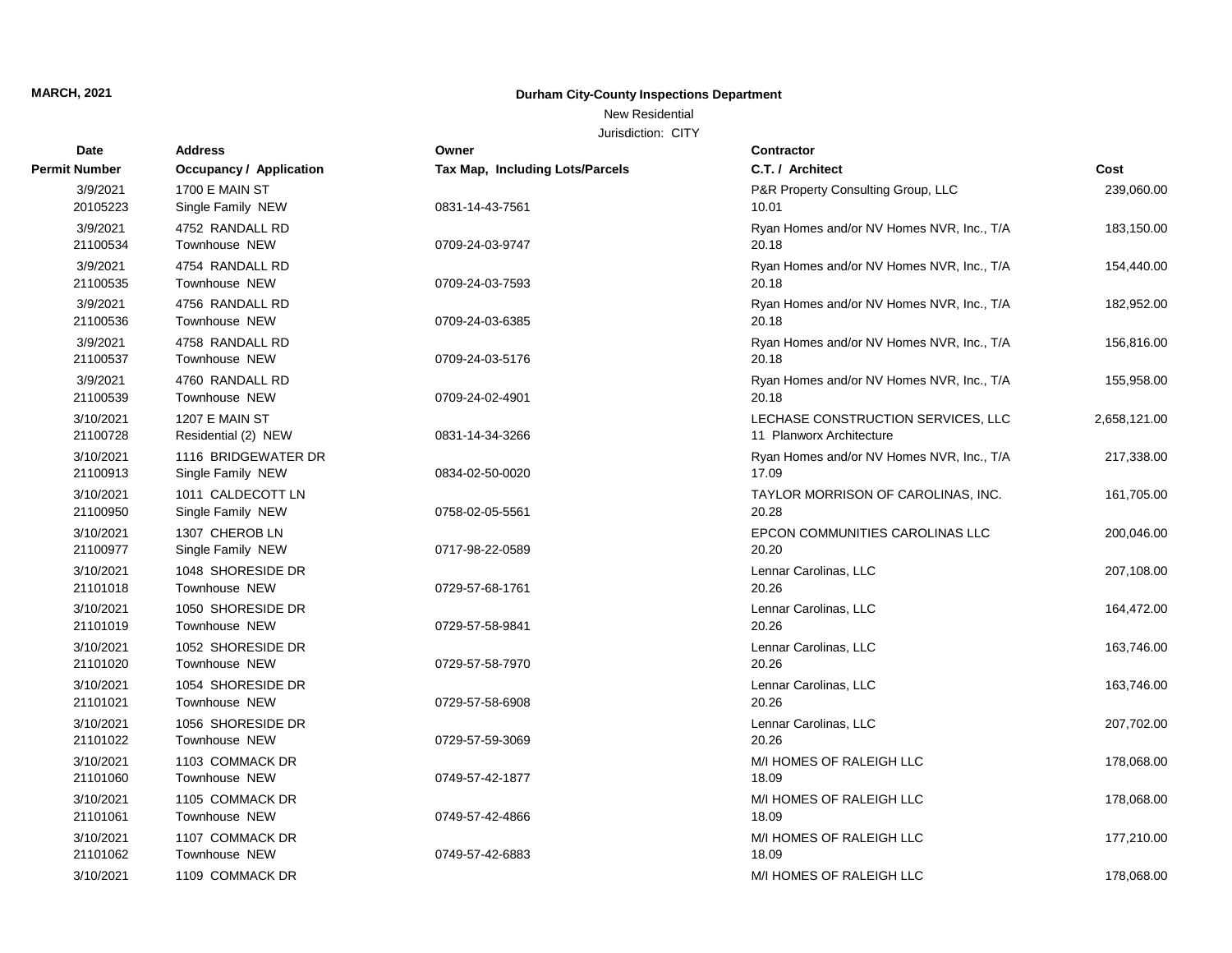## New Residential

| Date                  | <b>Address</b>                           | Owner                           | Contractor                                                     |              |
|-----------------------|------------------------------------------|---------------------------------|----------------------------------------------------------------|--------------|
| <b>Permit Number</b>  | <b>Occupancy / Application</b>           | Tax Map, Including Lots/Parcels | C.T. / Architect                                               | Cost         |
| 3/9/2021<br>20105223  | 1700 E MAIN ST<br>Single Family NEW      | 0831-14-43-7561                 | P&R Property Consulting Group, LLC<br>10.01                    | 239,060.00   |
| 3/9/2021<br>21100534  | 4752 RANDALL RD<br>Townhouse NEW         | 0709-24-03-9747                 | Ryan Homes and/or NV Homes NVR, Inc., T/A<br>20.18             | 183,150.00   |
| 3/9/2021<br>21100535  | 4754 RANDALL RD<br>Townhouse NEW         | 0709-24-03-7593                 | Ryan Homes and/or NV Homes NVR, Inc., T/A<br>20.18             | 154,440.00   |
| 3/9/2021<br>21100536  | 4756 RANDALL RD<br>Townhouse NEW         | 0709-24-03-6385                 | Ryan Homes and/or NV Homes NVR, Inc., T/A<br>20.18             | 182,952.00   |
| 3/9/2021<br>21100537  | 4758 RANDALL RD<br>Townhouse NEW         | 0709-24-03-5176                 | Ryan Homes and/or NV Homes NVR, Inc., T/A<br>20.18             | 156,816.00   |
| 3/9/2021<br>21100539  | 4760 RANDALL RD<br>Townhouse NEW         | 0709-24-02-4901                 | Ryan Homes and/or NV Homes NVR, Inc., T/A<br>20.18             | 155,958.00   |
| 3/10/2021<br>21100728 | 1207 E MAIN ST<br>Residential (2) NEW    | 0831-14-34-3266                 | LECHASE CONSTRUCTION SERVICES, LLC<br>11 Planworx Architecture | 2,658,121.00 |
| 3/10/2021<br>21100913 | 1116 BRIDGEWATER DR<br>Single Family NEW | 0834-02-50-0020                 | Ryan Homes and/or NV Homes NVR, Inc., T/A<br>17.09             | 217,338.00   |
| 3/10/2021<br>21100950 | 1011 CALDECOTT LN<br>Single Family NEW   | 0758-02-05-5561                 | TAYLOR MORRISON OF CAROLINAS, INC.<br>20.28                    | 161,705.00   |
| 3/10/2021<br>21100977 | 1307 CHEROB LN<br>Single Family NEW      | 0717-98-22-0589                 | EPCON COMMUNITIES CAROLINAS LLC<br>20.20                       | 200,046.00   |
| 3/10/2021<br>21101018 | 1048 SHORESIDE DR<br>Townhouse NEW       | 0729-57-68-1761                 | Lennar Carolinas, LLC<br>20.26                                 | 207,108.00   |
| 3/10/2021<br>21101019 | 1050 SHORESIDE DR<br>Townhouse NEW       | 0729-57-58-9841                 | Lennar Carolinas, LLC<br>20.26                                 | 164,472.00   |
| 3/10/2021<br>21101020 | 1052 SHORESIDE DR<br>Townhouse NEW       | 0729-57-58-7970                 | Lennar Carolinas, LLC<br>20.26                                 | 163,746.00   |
| 3/10/2021<br>21101021 | 1054 SHORESIDE DR<br>Townhouse NEW       | 0729-57-58-6908                 | Lennar Carolinas, LLC<br>20.26                                 | 163,746.00   |
| 3/10/2021<br>21101022 | 1056 SHORESIDE DR<br>Townhouse NEW       | 0729-57-59-3069                 | Lennar Carolinas, LLC<br>20.26                                 | 207,702.00   |
| 3/10/2021<br>21101060 | 1103 COMMACK DR<br>Townhouse NEW         | 0749-57-42-1877                 | M/I HOMES OF RALEIGH LLC<br>18.09                              | 178,068.00   |
| 3/10/2021<br>21101061 | 1105 COMMACK DR<br>Townhouse NEW         | 0749-57-42-4866                 | M/I HOMES OF RALEIGH LLC<br>18.09                              | 178,068.00   |
| 3/10/2021<br>21101062 | 1107 COMMACK DR<br>Townhouse NEW         | 0749-57-42-6883                 | M/I HOMES OF RALEIGH LLC<br>18.09                              | 177,210.00   |
| 3/10/2021             | 1109 COMMACK DR                          |                                 | M/I HOMES OF RALEIGH LLC                                       | 178,068.00   |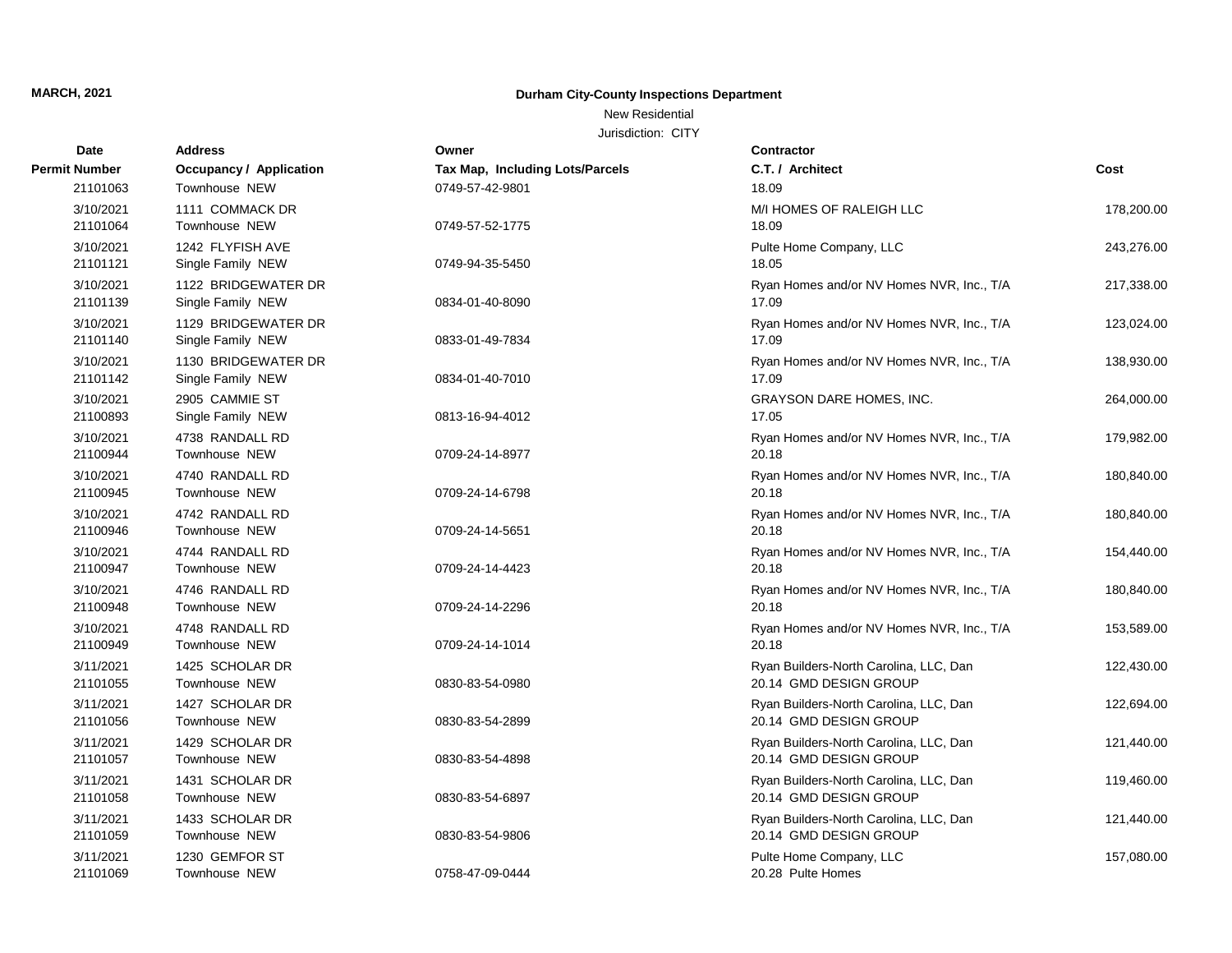## New Residential

| Date                  | <b>Address</b>                           | Owner                           | Contractor                                                       |            |
|-----------------------|------------------------------------------|---------------------------------|------------------------------------------------------------------|------------|
| Permit Number         | <b>Occupancy / Application</b>           | Tax Map, Including Lots/Parcels | C.T. / Architect                                                 | Cost       |
| 21101063              | Townhouse NEW                            | 0749-57-42-9801                 | 18.09                                                            |            |
| 3/10/2021<br>21101064 | 1111 COMMACK DR<br>Townhouse NEW         | 0749-57-52-1775                 | M/I HOMES OF RALEIGH LLC<br>18.09                                | 178,200.00 |
| 3/10/2021<br>21101121 | 1242 FLYFISH AVE<br>Single Family NEW    | 0749-94-35-5450                 | Pulte Home Company, LLC<br>18.05                                 | 243,276.00 |
| 3/10/2021<br>21101139 | 1122 BRIDGEWATER DR<br>Single Family NEW | 0834-01-40-8090                 | Ryan Homes and/or NV Homes NVR, Inc., T/A<br>17.09               | 217,338.00 |
| 3/10/2021<br>21101140 | 1129 BRIDGEWATER DR<br>Single Family NEW | 0833-01-49-7834                 | Ryan Homes and/or NV Homes NVR, Inc., T/A<br>17.09               | 123,024.00 |
| 3/10/2021<br>21101142 | 1130 BRIDGEWATER DR<br>Single Family NEW | 0834-01-40-7010                 | Ryan Homes and/or NV Homes NVR, Inc., T/A<br>17.09               | 138,930.00 |
| 3/10/2021<br>21100893 | 2905 CAMMIE ST<br>Single Family NEW      | 0813-16-94-4012                 | GRAYSON DARE HOMES, INC.<br>17.05                                | 264,000.00 |
| 3/10/2021<br>21100944 | 4738 RANDALL RD<br>Townhouse NEW         | 0709-24-14-8977                 | Ryan Homes and/or NV Homes NVR, Inc., T/A<br>20.18               | 179,982.00 |
| 3/10/2021<br>21100945 | 4740 RANDALL RD<br>Townhouse NEW         | 0709-24-14-6798                 | Ryan Homes and/or NV Homes NVR, Inc., T/A<br>20.18               | 180,840.00 |
| 3/10/2021<br>21100946 | 4742 RANDALL RD<br>Townhouse NEW         | 0709-24-14-5651                 | Ryan Homes and/or NV Homes NVR, Inc., T/A<br>20.18               | 180,840.00 |
| 3/10/2021<br>21100947 | 4744 RANDALL RD<br>Townhouse NEW         | 0709-24-14-4423                 | Ryan Homes and/or NV Homes NVR, Inc., T/A<br>20.18               | 154,440.00 |
| 3/10/2021<br>21100948 | 4746 RANDALL RD<br><b>Townhouse NEW</b>  | 0709-24-14-2296                 | Ryan Homes and/or NV Homes NVR, Inc., T/A<br>20.18               | 180,840.00 |
| 3/10/2021<br>21100949 | 4748 RANDALL RD<br>Townhouse NEW         | 0709-24-14-1014                 | Ryan Homes and/or NV Homes NVR, Inc., T/A<br>20.18               | 153,589.00 |
| 3/11/2021<br>21101055 | 1425 SCHOLAR DR<br>Townhouse NEW         | 0830-83-54-0980                 | Ryan Builders-North Carolina, LLC, Dan<br>20.14 GMD DESIGN GROUP | 122,430.00 |
| 3/11/2021<br>21101056 | 1427 SCHOLAR DR<br>Townhouse NEW         | 0830-83-54-2899                 | Ryan Builders-North Carolina, LLC, Dan<br>20.14 GMD DESIGN GROUP | 122,694.00 |
| 3/11/2021<br>21101057 | 1429 SCHOLAR DR<br><b>Townhouse NEW</b>  | 0830-83-54-4898                 | Ryan Builders-North Carolina, LLC, Dan<br>20.14 GMD DESIGN GROUP | 121,440.00 |
| 3/11/2021<br>21101058 | 1431 SCHOLAR DR<br>Townhouse NEW         | 0830-83-54-6897                 | Ryan Builders-North Carolina, LLC, Dan<br>20.14 GMD DESIGN GROUP | 119,460.00 |
| 3/11/2021<br>21101059 | 1433 SCHOLAR DR<br>Townhouse NEW         | 0830-83-54-9806                 | Ryan Builders-North Carolina, LLC, Dan<br>20.14 GMD DESIGN GROUP | 121,440.00 |
| 3/11/2021<br>21101069 | 1230 GEMFOR ST<br>Townhouse NEW          | 0758-47-09-0444                 | Pulte Home Company, LLC<br>20.28 Pulte Homes                     | 157,080.00 |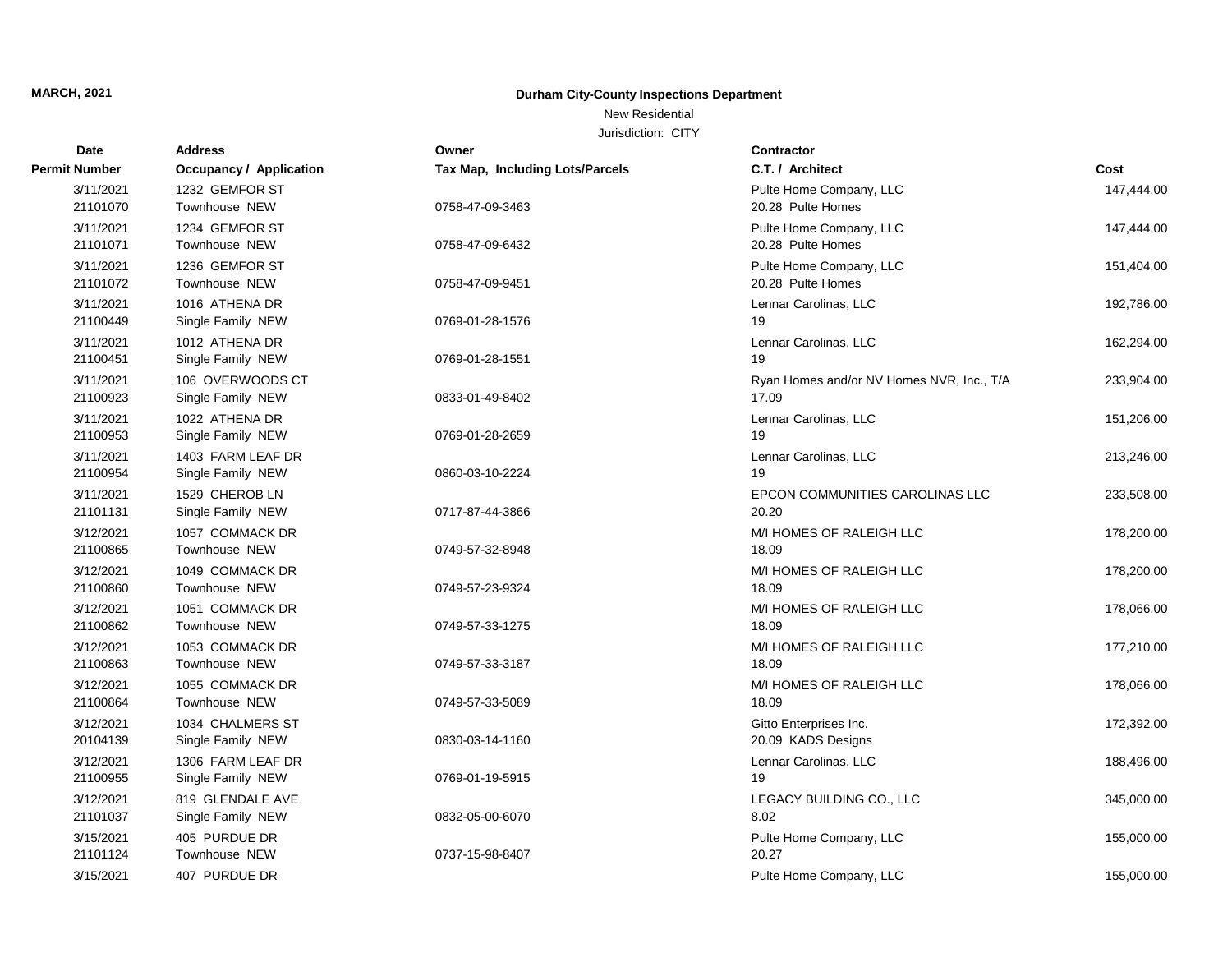New Residential

| Date                  | <b>Address</b>                         | Owner                                  | <b>Contractor</b>                                  |            |
|-----------------------|----------------------------------------|----------------------------------------|----------------------------------------------------|------------|
| <b>Permit Number</b>  | <b>Occupancy / Application</b>         | <b>Tax Map, Including Lots/Parcels</b> | C.T. / Architect                                   | Cost       |
| 3/11/2021<br>21101070 | 1232 GEMFOR ST<br>Townhouse NEW        | 0758-47-09-3463                        | Pulte Home Company, LLC<br>20.28 Pulte Homes       | 147,444.00 |
| 3/11/2021<br>21101071 | 1234 GEMFOR ST<br>Townhouse NEW        | 0758-47-09-6432                        | Pulte Home Company, LLC<br>20.28 Pulte Homes       | 147,444.00 |
| 3/11/2021<br>21101072 | 1236 GEMFOR ST<br>Townhouse NEW        | 0758-47-09-9451                        | Pulte Home Company, LLC<br>20.28 Pulte Homes       | 151,404.00 |
| 3/11/2021<br>21100449 | 1016 ATHENA DR<br>Single Family NEW    | 0769-01-28-1576                        | Lennar Carolinas, LLC<br>19                        | 192,786.00 |
| 3/11/2021<br>21100451 | 1012 ATHENA DR<br>Single Family NEW    | 0769-01-28-1551                        | Lennar Carolinas, LLC<br>19                        | 162,294.00 |
| 3/11/2021<br>21100923 | 106 OVERWOODS CT<br>Single Family NEW  | 0833-01-49-8402                        | Ryan Homes and/or NV Homes NVR, Inc., T/A<br>17.09 | 233,904.00 |
| 3/11/2021<br>21100953 | 1022 ATHENA DR<br>Single Family NEW    | 0769-01-28-2659                        | Lennar Carolinas, LLC<br>19                        | 151,206.00 |
| 3/11/2021<br>21100954 | 1403 FARM LEAF DR<br>Single Family NEW | 0860-03-10-2224                        | Lennar Carolinas, LLC<br>19                        | 213,246.00 |
| 3/11/2021<br>21101131 | 1529 CHEROB LN<br>Single Family NEW    | 0717-87-44-3866                        | EPCON COMMUNITIES CAROLINAS LLC<br>20.20           | 233,508.00 |
| 3/12/2021<br>21100865 | 1057 COMMACK DR<br>Townhouse NEW       | 0749-57-32-8948                        | M/I HOMES OF RALEIGH LLC<br>18.09                  | 178,200.00 |
| 3/12/2021<br>21100860 | 1049 COMMACK DR<br>Townhouse NEW       | 0749-57-23-9324                        | M/I HOMES OF RALEIGH LLC<br>18.09                  | 178,200.00 |
| 3/12/2021<br>21100862 | 1051 COMMACK DR<br>Townhouse NEW       | 0749-57-33-1275                        | M/I HOMES OF RALEIGH LLC<br>18.09                  | 178,066.00 |
| 3/12/2021<br>21100863 | 1053 COMMACK DR<br>Townhouse NEW       | 0749-57-33-3187                        | M/I HOMES OF RALEIGH LLC<br>18.09                  | 177,210.00 |
| 3/12/2021<br>21100864 | 1055 COMMACK DR<br>Townhouse NEW       | 0749-57-33-5089                        | M/I HOMES OF RALEIGH LLC<br>18.09                  | 178,066.00 |
| 3/12/2021<br>20104139 | 1034 CHALMERS ST<br>Single Family NEW  | 0830-03-14-1160                        | Gitto Enterprises Inc.<br>20.09 KADS Designs       | 172,392.00 |
| 3/12/2021<br>21100955 | 1306 FARM LEAF DR<br>Single Family NEW | 0769-01-19-5915                        | Lennar Carolinas, LLC<br>19                        | 188,496.00 |
| 3/12/2021<br>21101037 | 819 GLENDALE AVE<br>Single Family NEW  | 0832-05-00-6070                        | LEGACY BUILDING CO., LLC<br>8.02                   | 345,000.00 |
| 3/15/2021<br>21101124 | 405 PURDUE DR<br>Townhouse NEW         | 0737-15-98-8407                        | Pulte Home Company, LLC<br>20.27                   | 155,000.00 |
| 3/15/2021             | 407 PURDUE DR                          |                                        | Pulte Home Company, LLC                            | 155,000.00 |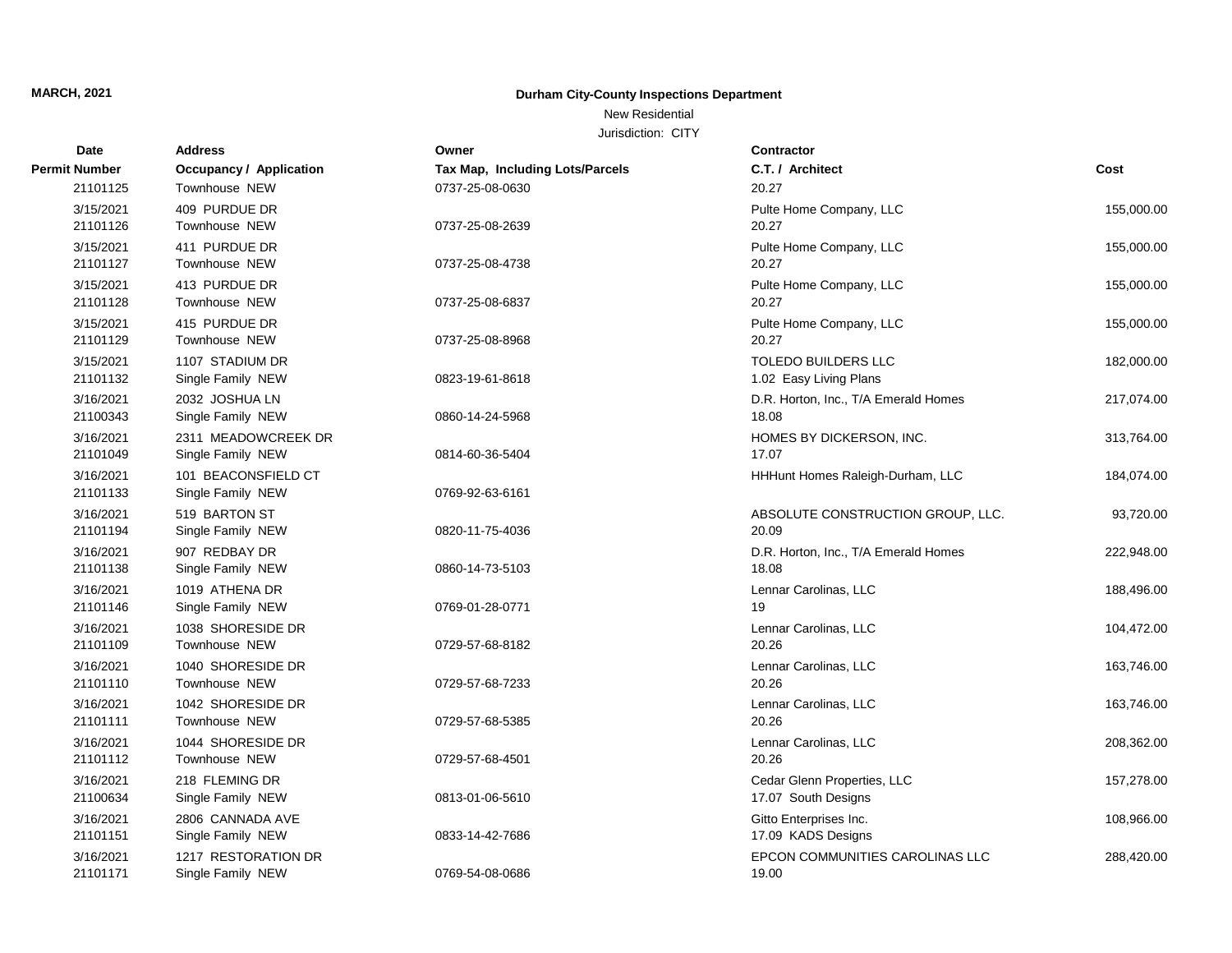## New Residential

| <b>Date</b>           | <b>Address</b>                            | Owner                           | <b>Contractor</b>                                    |            |
|-----------------------|-------------------------------------------|---------------------------------|------------------------------------------------------|------------|
| <b>Permit Number</b>  | Occupancy / Application                   | Tax Map, Including Lots/Parcels | C.T. / Architect                                     | Cost       |
| 21101125              | Townhouse NEW                             | 0737-25-08-0630                 | 20.27                                                |            |
| 3/15/2021<br>21101126 | 409 PURDUE DR<br>Townhouse NEW            | 0737-25-08-2639                 | Pulte Home Company, LLC<br>20.27                     | 155,000.00 |
| 3/15/2021<br>21101127 | 411 PURDUE DR<br>Townhouse NEW            | 0737-25-08-4738                 | Pulte Home Company, LLC<br>20.27                     | 155,000.00 |
| 3/15/2021<br>21101128 | 413 PURDUE DR<br>Townhouse NEW            | 0737-25-08-6837                 | Pulte Home Company, LLC<br>20.27                     | 155,000.00 |
| 3/15/2021<br>21101129 | 415 PURDUE DR<br>Townhouse NEW            | 0737-25-08-8968                 | Pulte Home Company, LLC<br>20.27                     | 155,000.00 |
| 3/15/2021<br>21101132 | 1107 STADIUM DR<br>Single Family NEW      | 0823-19-61-8618                 | <b>TOLEDO BUILDERS LLC</b><br>1.02 Easy Living Plans | 182,000.00 |
| 3/16/2021<br>21100343 | 2032 JOSHUA LN<br>Single Family NEW       | 0860-14-24-5968                 | D.R. Horton, Inc., T/A Emerald Homes<br>18.08        | 217,074.00 |
| 3/16/2021<br>21101049 | 2311 MEADOWCREEK DR<br>Single Family NEW  | 0814-60-36-5404                 | HOMES BY DICKERSON, INC.<br>17.07                    | 313,764.00 |
| 3/16/2021<br>21101133 | 101 BEACONSFIELD CT<br>Single Family NEW  | 0769-92-63-6161                 | HHHunt Homes Raleigh-Durham, LLC                     | 184,074.00 |
| 3/16/2021<br>21101194 | 519 BARTON ST<br>Single Family NEW        | 0820-11-75-4036                 | ABSOLUTE CONSTRUCTION GROUP, LLC.<br>20.09           | 93,720.00  |
| 3/16/2021<br>21101138 | 907 REDBAY DR<br>Single Family NEW        | 0860-14-73-5103                 | D.R. Horton, Inc., T/A Emerald Homes<br>18.08        | 222,948.00 |
| 3/16/2021<br>21101146 | 1019 ATHENA DR<br>Single Family NEW       | 0769-01-28-0771                 | Lennar Carolinas, LLC<br>19                          | 188,496.00 |
| 3/16/2021<br>21101109 | 1038 SHORESIDE DR<br>Townhouse NEW        | 0729-57-68-8182                 | Lennar Carolinas, LLC<br>20.26                       | 104,472.00 |
| 3/16/2021<br>21101110 | 1040 SHORESIDE DR<br>Townhouse NEW        | 0729-57-68-7233                 | Lennar Carolinas, LLC<br>20.26                       | 163,746.00 |
| 3/16/2021<br>21101111 | 1042 SHORESIDE DR<br>Townhouse NEW        | 0729-57-68-5385                 | Lennar Carolinas, LLC<br>20.26                       | 163,746.00 |
| 3/16/2021<br>21101112 | 1044 SHORESIDE DR<br><b>Townhouse NEW</b> | 0729-57-68-4501                 | Lennar Carolinas, LLC<br>20.26                       | 208,362.00 |
| 3/16/2021<br>21100634 | 218 FLEMING DR<br>Single Family NEW       | 0813-01-06-5610                 | Cedar Glenn Properties, LLC<br>17.07 South Designs   | 157,278.00 |
| 3/16/2021<br>21101151 | 2806 CANNADA AVE<br>Single Family NEW     | 0833-14-42-7686                 | Gitto Enterprises Inc.<br>17.09 KADS Designs         | 108,966.00 |
| 3/16/2021<br>21101171 | 1217 RESTORATION DR<br>Single Family NEW  | 0769-54-08-0686                 | EPCON COMMUNITIES CAROLINAS LLC<br>19.00             | 288,420.00 |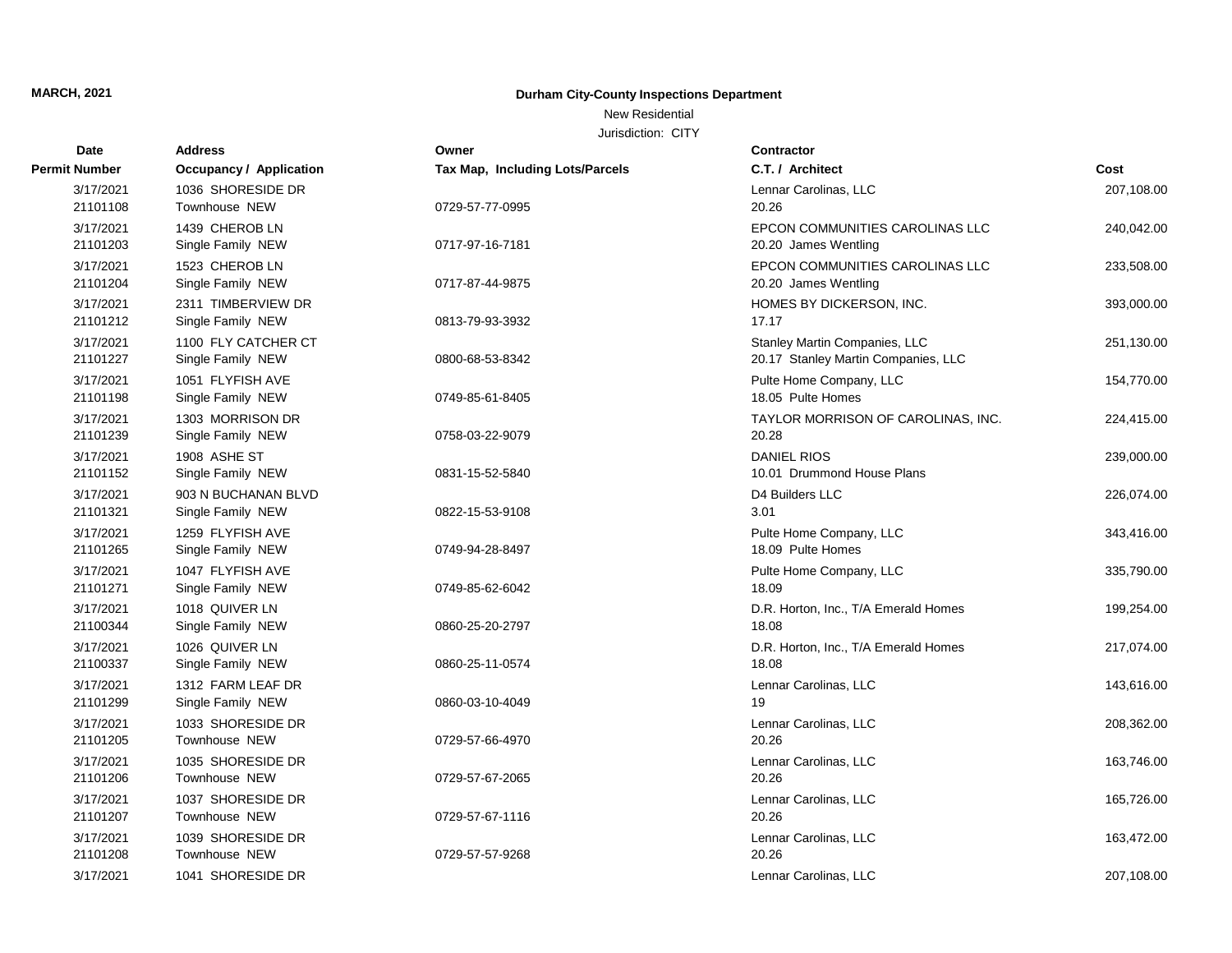## New Residential

| Date                  | <b>Address</b>                      | Owner                                  | Contractor                                    |            |
|-----------------------|-------------------------------------|----------------------------------------|-----------------------------------------------|------------|
| <b>Permit Number</b>  | <b>Occupancy / Application</b>      | <b>Tax Map, Including Lots/Parcels</b> | C.T. / Architect                              | Cost       |
| 3/17/2021             | 1036 SHORESIDE DR                   |                                        | Lennar Carolinas, LLC                         | 207,108.00 |
| 21101108              | Townhouse NEW                       | 0729-57-77-0995                        | 20.26                                         |            |
| 3/17/2021             | 1439 CHEROB LN                      |                                        | EPCON COMMUNITIES CAROLINAS LLC               | 240,042.00 |
| 21101203              | Single Family NEW                   | 0717-97-16-7181                        | 20.20 James Wentling                          |            |
| 3/17/2021             | 1523 CHEROB LN                      |                                        | EPCON COMMUNITIES CAROLINAS LLC               | 233,508.00 |
| 21101204              | Single Family NEW                   | 0717-87-44-9875                        | 20.20 James Wentling                          |            |
| 3/17/2021             | 2311 TIMBERVIEW DR                  |                                        | HOMES BY DICKERSON, INC.                      | 393,000.00 |
| 21101212              | Single Family NEW                   | 0813-79-93-3932                        | 17.17                                         |            |
| 3/17/2021             | 1100 FLY CATCHER CT                 |                                        | Stanley Martin Companies, LLC                 | 251,130.00 |
| 21101227              | Single Family NEW                   | 0800-68-53-8342                        | 20.17 Stanley Martin Companies, LLC           |            |
| 3/17/2021             | 1051 FLYFISH AVE                    |                                        | Pulte Home Company, LLC                       | 154,770.00 |
| 21101198              | Single Family NEW                   | 0749-85-61-8405                        | 18.05 Pulte Homes                             |            |
| 3/17/2021             | 1303 MORRISON DR                    |                                        | TAYLOR MORRISON OF CAROLINAS, INC.            | 224,415.00 |
| 21101239              | Single Family NEW                   | 0758-03-22-9079                        | 20.28                                         |            |
| 3/17/2021             | 1908 ASHE ST                        |                                        | <b>DANIEL RIOS</b>                            | 239,000.00 |
| 21101152              | Single Family NEW                   | 0831-15-52-5840                        | 10.01 Drummond House Plans                    |            |
| 3/17/2021             | 903 N BUCHANAN BLVD                 |                                        | D4 Builders LLC                               | 226,074.00 |
| 21101321              | Single Family NEW                   | 0822-15-53-9108                        | 3.01                                          |            |
| 3/17/2021             | 1259 FLYFISH AVE                    |                                        | Pulte Home Company, LLC<br>18.09 Pulte Homes  | 343,416.00 |
| 21101265              | Single Family NEW                   | 0749-94-28-8497                        |                                               |            |
| 3/17/2021<br>21101271 | 1047 FLYFISH AVE                    | 0749-85-62-6042                        | Pulte Home Company, LLC<br>18.09              | 335,790.00 |
|                       | Single Family NEW                   |                                        |                                               |            |
| 3/17/2021<br>21100344 | 1018 QUIVER LN<br>Single Family NEW | 0860-25-20-2797                        | D.R. Horton, Inc., T/A Emerald Homes<br>18.08 | 199,254.00 |
|                       |                                     |                                        |                                               |            |
| 3/17/2021<br>21100337 | 1026 QUIVER LN<br>Single Family NEW | 0860-25-11-0574                        | D.R. Horton, Inc., T/A Emerald Homes<br>18.08 | 217,074.00 |
| 3/17/2021             | 1312 FARM LEAF DR                   |                                        | Lennar Carolinas, LLC                         | 143,616.00 |
| 21101299              | Single Family NEW                   | 0860-03-10-4049                        | 19                                            |            |
| 3/17/2021             | 1033 SHORESIDE DR                   |                                        | Lennar Carolinas, LLC                         | 208,362.00 |
| 21101205              | Townhouse NEW                       | 0729-57-66-4970                        | 20.26                                         |            |
| 3/17/2021             | 1035 SHORESIDE DR                   |                                        | Lennar Carolinas, LLC                         | 163,746.00 |
| 21101206              | Townhouse NEW                       | 0729-57-67-2065                        | 20.26                                         |            |
| 3/17/2021             | 1037 SHORESIDE DR                   |                                        | Lennar Carolinas, LLC                         | 165,726.00 |
| 21101207              | Townhouse NEW                       | 0729-57-67-1116                        | 20.26                                         |            |
| 3/17/2021             | 1039 SHORESIDE DR                   |                                        | Lennar Carolinas, LLC                         | 163,472.00 |
| 21101208              | Townhouse NEW                       | 0729-57-57-9268                        | 20.26                                         |            |
| 3/17/2021             | 1041 SHORESIDE DR                   |                                        | Lennar Carolinas, LLC                         | 207,108.00 |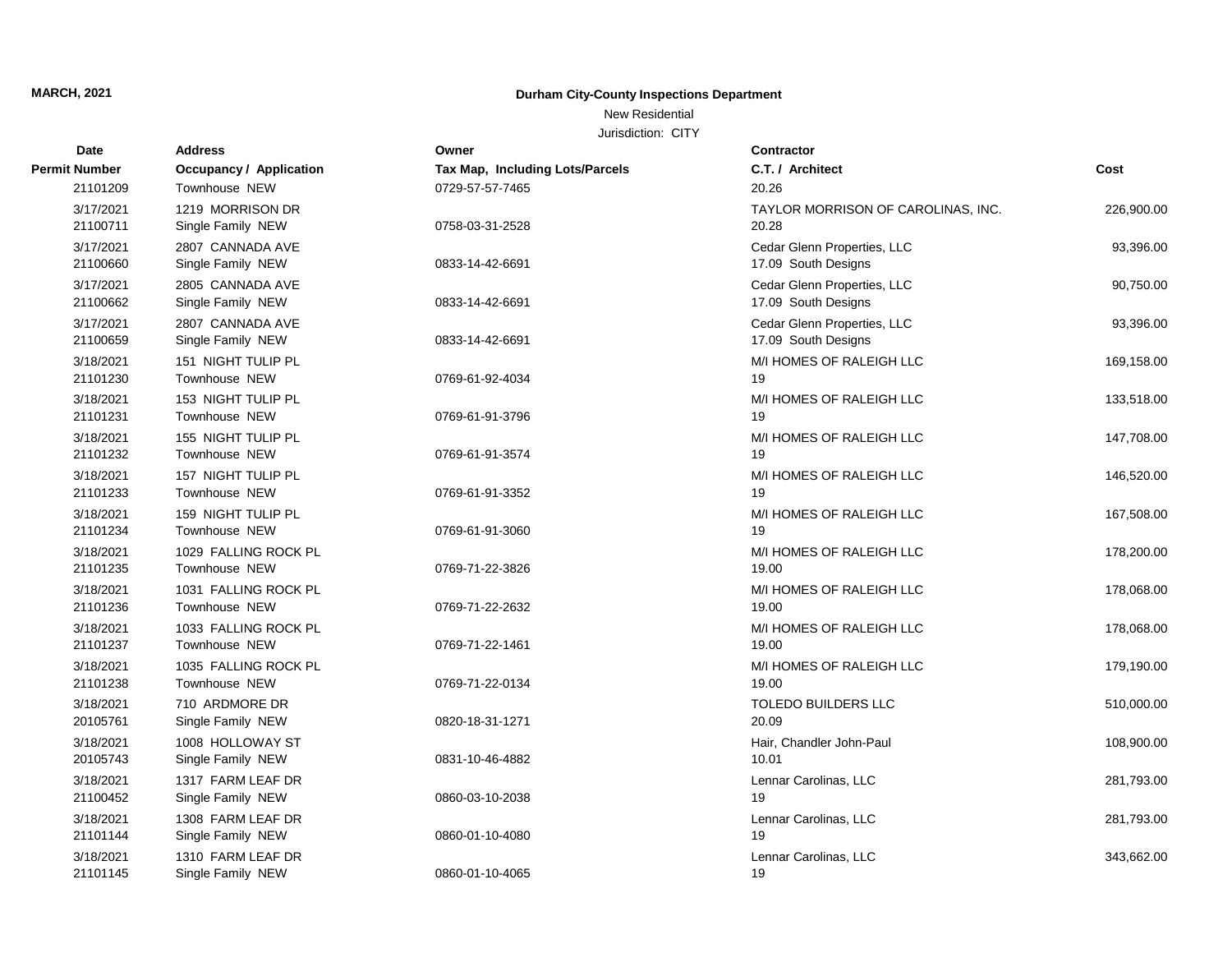### New Residential

| Date          | <b>Address</b>                 | Owner                           | <b>Contractor</b>                  |            |
|---------------|--------------------------------|---------------------------------|------------------------------------|------------|
| Permit Number | <b>Occupancy / Application</b> | Tax Map, Including Lots/Parcels | C.T. / Architect                   | Cost       |
| 21101209      | Townhouse NEW                  | 0729-57-57-7465                 | 20.26                              |            |
| 3/17/2021     | 1219 MORRISON DR               |                                 | TAYLOR MORRISON OF CAROLINAS, INC. | 226,900.00 |
| 21100711      | Single Family NEW              | 0758-03-31-2528                 | 20.28                              |            |
| 3/17/2021     | 2807 CANNADA AVE               |                                 | Cedar Glenn Properties, LLC        | 93,396.00  |
| 21100660      | Single Family NEW              | 0833-14-42-6691                 | 17.09 South Designs                |            |
| 3/17/2021     | 2805 CANNADA AVE               |                                 | Cedar Glenn Properties, LLC        | 90,750.00  |
| 21100662      | Single Family NEW              | 0833-14-42-6691                 | 17.09 South Designs                |            |
| 3/17/2021     | 2807 CANNADA AVE               |                                 | Cedar Glenn Properties, LLC        | 93,396.00  |
| 21100659      | Single Family NEW              | 0833-14-42-6691                 | 17.09 South Designs                |            |
| 3/18/2021     | 151 NIGHT TULIP PL             |                                 | M/I HOMES OF RALEIGH LLC           | 169,158.00 |
| 21101230      | Townhouse NEW                  | 0769-61-92-4034                 | 19                                 |            |
| 3/18/2021     | 153 NIGHT TULIP PL             |                                 | M/I HOMES OF RALEIGH LLC           | 133,518.00 |
| 21101231      | Townhouse NEW                  | 0769-61-91-3796                 | 19                                 |            |
| 3/18/2021     | 155 NIGHT TULIP PL             |                                 | M/I HOMES OF RALEIGH LLC           | 147,708.00 |
| 21101232      | Townhouse NEW                  | 0769-61-91-3574                 | 19                                 |            |
| 3/18/2021     | 157 NIGHT TULIP PL             |                                 | M/I HOMES OF RALEIGH LLC           | 146,520.00 |
| 21101233      | Townhouse NEW                  | 0769-61-91-3352                 | 19                                 |            |
| 3/18/2021     | 159 NIGHT TULIP PL             |                                 | M/I HOMES OF RALEIGH LLC           | 167,508.00 |
| 21101234      | Townhouse NEW                  | 0769-61-91-3060                 | 19                                 |            |
| 3/18/2021     | 1029 FALLING ROCK PL           |                                 | M/I HOMES OF RALEIGH LLC           | 178,200.00 |
| 21101235      | Townhouse NEW                  | 0769-71-22-3826                 | 19.00                              |            |
| 3/18/2021     | 1031 FALLING ROCK PL           |                                 | M/I HOMES OF RALEIGH LLC           | 178,068.00 |
| 21101236      | Townhouse NEW                  | 0769-71-22-2632                 | 19.00                              |            |
| 3/18/2021     | 1033 FALLING ROCK PL           |                                 | M/I HOMES OF RALEIGH LLC           | 178,068.00 |
| 21101237      | Townhouse NEW                  | 0769-71-22-1461                 | 19.00                              |            |
| 3/18/2021     | 1035 FALLING ROCK PL           |                                 | M/I HOMES OF RALEIGH LLC           | 179,190.00 |
| 21101238      | Townhouse NEW                  | 0769-71-22-0134                 | 19.00                              |            |
| 3/18/2021     | 710 ARDMORE DR                 |                                 | TOLEDO BUILDERS LLC                | 510,000.00 |
| 20105761      | Single Family NEW              | 0820-18-31-1271                 | 20.09                              |            |
| 3/18/2021     | 1008 HOLLOWAY ST               |                                 | Hair, Chandler John-Paul           | 108,900.00 |
| 20105743      | Single Family NEW              | 0831-10-46-4882                 | 10.01                              |            |
| 3/18/2021     | 1317 FARM LEAF DR              |                                 | Lennar Carolinas, LLC              | 281,793.00 |
| 21100452      | Single Family NEW              | 0860-03-10-2038                 | 19                                 |            |
| 3/18/2021     | 1308 FARM LEAF DR              |                                 | Lennar Carolinas, LLC              | 281,793.00 |
| 21101144      | Single Family NEW              | 0860-01-10-4080                 | 19                                 |            |
| 3/18/2021     | 1310 FARM LEAF DR              |                                 | Lennar Carolinas, LLC              | 343,662.00 |
| 21101145      | Single Family NEW              | 0860-01-10-4065                 | 19                                 |            |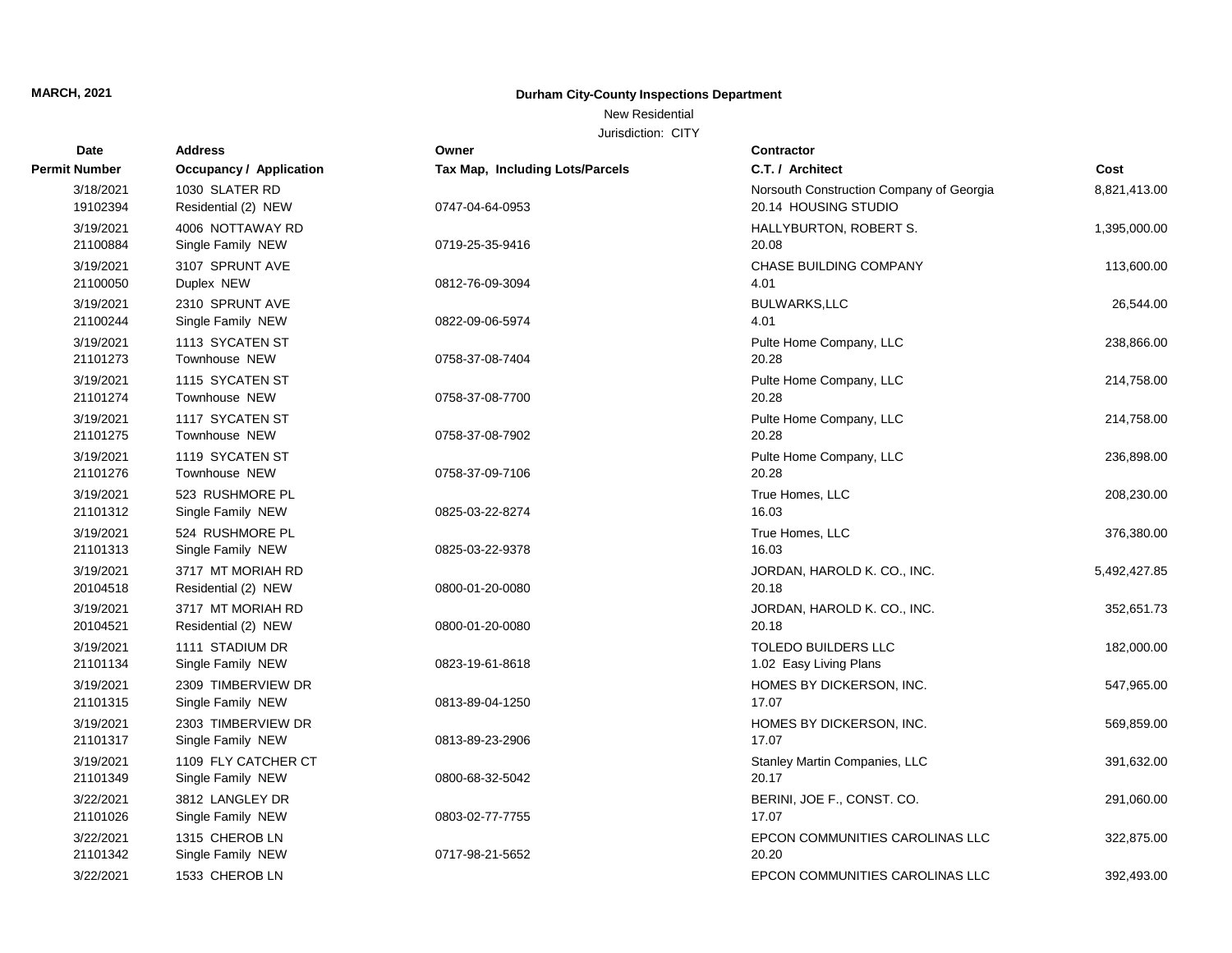## New Residential

| <b>Date</b>           | <b>Address</b>                           | Owner                           | <b>Contractor</b>                                                |              |
|-----------------------|------------------------------------------|---------------------------------|------------------------------------------------------------------|--------------|
| <b>Permit Number</b>  | Occupancy / Application                  | Tax Map, Including Lots/Parcels | C.T. / Architect                                                 | Cost         |
| 3/18/2021<br>19102394 | 1030 SLATER RD<br>Residential (2) NEW    | 0747-04-64-0953                 | Norsouth Construction Company of Georgia<br>20.14 HOUSING STUDIO | 8,821,413.00 |
| 3/19/2021<br>21100884 | 4006 NOTTAWAY RD<br>Single Family NEW    | 0719-25-35-9416                 | HALLYBURTON, ROBERT S.<br>20.08                                  | 1,395,000.00 |
| 3/19/2021<br>21100050 | 3107 SPRUNT AVE<br>Duplex NEW            | 0812-76-09-3094                 | CHASE BUILDING COMPANY<br>4.01                                   | 113,600.00   |
| 3/19/2021<br>21100244 | 2310 SPRUNT AVE<br>Single Family NEW     | 0822-09-06-5974                 | <b>BULWARKS, LLC</b><br>4.01                                     | 26,544.00    |
| 3/19/2021<br>21101273 | 1113 SYCATEN ST<br>Townhouse NEW         | 0758-37-08-7404                 | Pulte Home Company, LLC<br>20.28                                 | 238,866.00   |
| 3/19/2021<br>21101274 | 1115 SYCATEN ST<br>Townhouse NEW         | 0758-37-08-7700                 | Pulte Home Company, LLC<br>20.28                                 | 214,758.00   |
| 3/19/2021<br>21101275 | 1117 SYCATEN ST<br>Townhouse NEW         | 0758-37-08-7902                 | Pulte Home Company, LLC<br>20.28                                 | 214,758.00   |
| 3/19/2021<br>21101276 | 1119 SYCATEN ST<br><b>Townhouse NEW</b>  | 0758-37-09-7106                 | Pulte Home Company, LLC<br>20.28                                 | 236,898.00   |
| 3/19/2021<br>21101312 | 523 RUSHMORE PL<br>Single Family NEW     | 0825-03-22-8274                 | True Homes, LLC<br>16.03                                         | 208,230.00   |
| 3/19/2021<br>21101313 | 524 RUSHMORE PL<br>Single Family NEW     | 0825-03-22-9378                 | True Homes, LLC<br>16.03                                         | 376,380.00   |
| 3/19/2021<br>20104518 | 3717 MT MORIAH RD<br>Residential (2) NEW | 0800-01-20-0080                 | JORDAN, HAROLD K. CO., INC.<br>20.18                             | 5,492,427.85 |
| 3/19/2021<br>20104521 | 3717 MT MORIAH RD<br>Residential (2) NEW | 0800-01-20-0080                 | JORDAN, HAROLD K. CO., INC.<br>20.18                             | 352,651.73   |
| 3/19/2021<br>21101134 | 1111 STADIUM DR<br>Single Family NEW     | 0823-19-61-8618                 | <b>TOLEDO BUILDERS LLC</b><br>1.02 Easy Living Plans             | 182,000.00   |
| 3/19/2021<br>21101315 | 2309 TIMBERVIEW DR<br>Single Family NEW  | 0813-89-04-1250                 | HOMES BY DICKERSON, INC.<br>17.07                                | 547,965.00   |
| 3/19/2021<br>21101317 | 2303 TIMBERVIEW DR<br>Single Family NEW  | 0813-89-23-2906                 | HOMES BY DICKERSON, INC.<br>17.07                                | 569,859.00   |
| 3/19/2021<br>21101349 | 1109 FLY CATCHER CT<br>Single Family NEW | 0800-68-32-5042                 | Stanley Martin Companies, LLC<br>20.17                           | 391,632.00   |
| 3/22/2021<br>21101026 | 3812 LANGLEY DR<br>Single Family NEW     | 0803-02-77-7755                 | BERINI, JOE F., CONST. CO.<br>17.07                              | 291,060.00   |
| 3/22/2021<br>21101342 | 1315 CHEROB LN<br>Single Family NEW      | 0717-98-21-5652                 | EPCON COMMUNITIES CAROLINAS LLC<br>20.20                         | 322,875.00   |
| 3/22/2021             | 1533 CHEROB LN                           |                                 | EPCON COMMUNITIES CAROLINAS LLC                                  | 392,493.00   |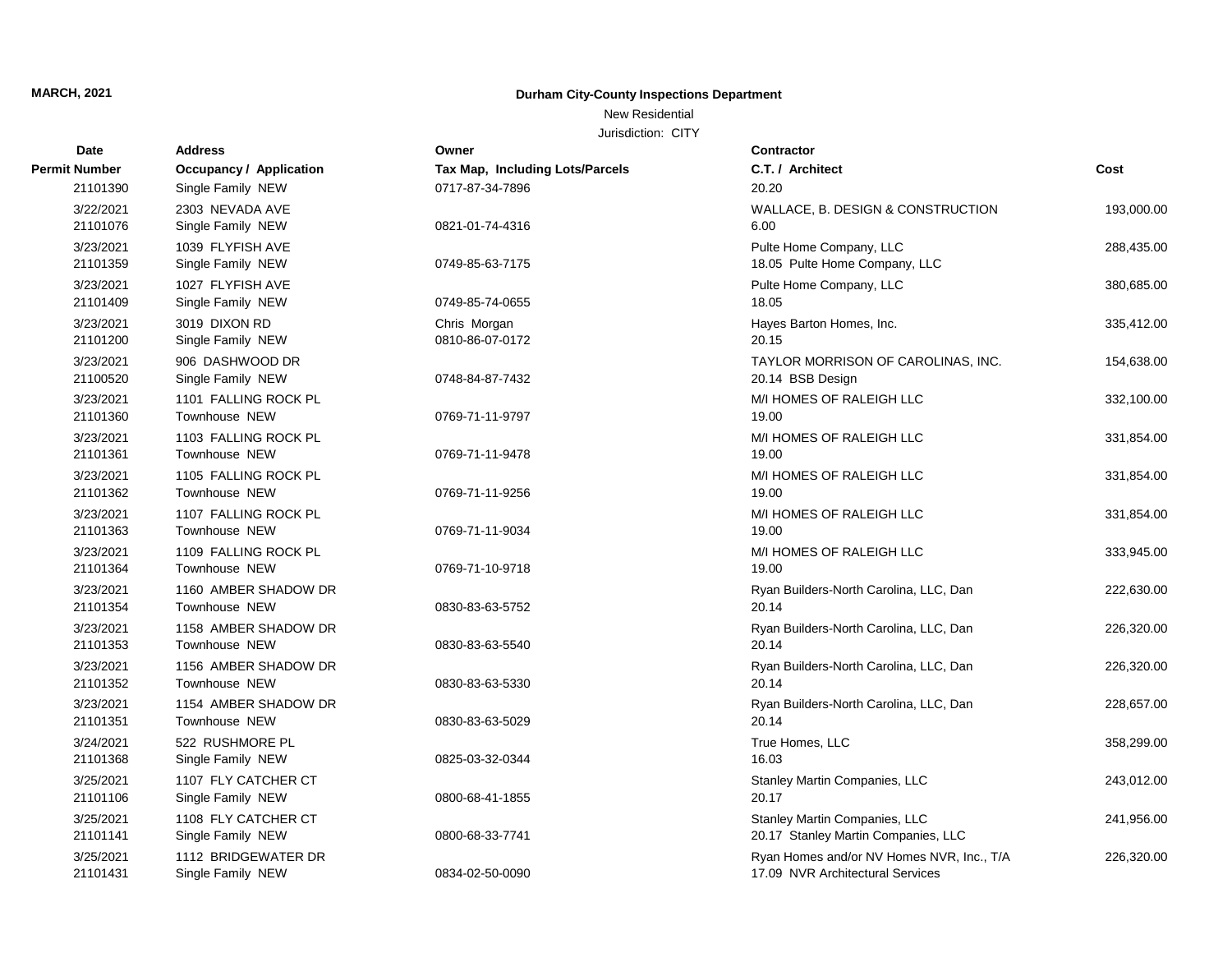## New Residential

| <b>Date</b>           | <b>Address</b>                               | Owner                           | <b>Contractor</b>                                                             |            |
|-----------------------|----------------------------------------------|---------------------------------|-------------------------------------------------------------------------------|------------|
| Permit Number         | <b>Occupancy / Application</b>               | Tax Map, Including Lots/Parcels | C.T. / Architect                                                              | Cost       |
| 21101390              | Single Family NEW                            | 0717-87-34-7896                 | 20.20                                                                         |            |
| 3/22/2021<br>21101076 | 2303 NEVADA AVE<br>Single Family NEW         | 0821-01-74-4316                 | WALLACE, B. DESIGN & CONSTRUCTION<br>6.00                                     | 193,000.00 |
| 3/23/2021<br>21101359 | 1039 FLYFISH AVE<br>Single Family NEW        | 0749-85-63-7175                 | Pulte Home Company, LLC<br>18.05 Pulte Home Company, LLC                      | 288,435.00 |
| 3/23/2021<br>21101409 | 1027 FLYFISH AVE<br>Single Family NEW        | 0749-85-74-0655                 | Pulte Home Company, LLC<br>18.05                                              | 380,685.00 |
| 3/23/2021<br>21101200 | 3019 DIXON RD<br>Single Family NEW           | Chris Morgan<br>0810-86-07-0172 | Hayes Barton Homes, Inc.<br>20.15                                             | 335,412.00 |
| 3/23/2021<br>21100520 | 906 DASHWOOD DR<br>Single Family NEW         | 0748-84-87-7432                 | TAYLOR MORRISON OF CAROLINAS, INC.<br>20.14 BSB Design                        | 154,638.00 |
| 3/23/2021<br>21101360 | 1101 FALLING ROCK PL<br>Townhouse NEW        | 0769-71-11-9797                 | M/I HOMES OF RALEIGH LLC<br>19.00                                             | 332,100.00 |
| 3/23/2021<br>21101361 | 1103 FALLING ROCK PL<br>Townhouse NEW        | 0769-71-11-9478                 | M/I HOMES OF RALEIGH LLC<br>19.00                                             | 331,854.00 |
| 3/23/2021<br>21101362 | 1105 FALLING ROCK PL<br>Townhouse NEW        | 0769-71-11-9256                 | M/I HOMES OF RALEIGH LLC<br>19.00                                             | 331,854.00 |
| 3/23/2021<br>21101363 | 1107 FALLING ROCK PL<br>Townhouse NEW        | 0769-71-11-9034                 | M/I HOMES OF RALEIGH LLC<br>19.00                                             | 331,854.00 |
| 3/23/2021<br>21101364 | 1109 FALLING ROCK PL<br>Townhouse NEW        | 0769-71-10-9718                 | M/I HOMES OF RALEIGH LLC<br>19.00                                             | 333,945.00 |
| 3/23/2021<br>21101354 | 1160 AMBER SHADOW DR<br>Townhouse NEW        | 0830-83-63-5752                 | Ryan Builders-North Carolina, LLC, Dan<br>20.14                               | 222,630.00 |
| 3/23/2021<br>21101353 | 1158 AMBER SHADOW DR<br><b>Townhouse NEW</b> | 0830-83-63-5540                 | Ryan Builders-North Carolina, LLC, Dan<br>20.14                               | 226,320.00 |
| 3/23/2021<br>21101352 | 1156 AMBER SHADOW DR<br>Townhouse NEW        | 0830-83-63-5330                 | Ryan Builders-North Carolina, LLC, Dan<br>20.14                               | 226,320.00 |
| 3/23/2021<br>21101351 | 1154 AMBER SHADOW DR<br><b>Townhouse NEW</b> | 0830-83-63-5029                 | Ryan Builders-North Carolina, LLC, Dan<br>20.14                               | 228,657.00 |
| 3/24/2021<br>21101368 | 522 RUSHMORE PL<br>Single Family NEW         | 0825-03-32-0344                 | True Homes, LLC<br>16.03                                                      | 358,299.00 |
| 3/25/2021<br>21101106 | 1107 FLY CATCHER CT<br>Single Family NEW     | 0800-68-41-1855                 | Stanley Martin Companies, LLC<br>20.17                                        | 243,012.00 |
| 3/25/2021<br>21101141 | 1108 FLY CATCHER CT<br>Single Family NEW     | 0800-68-33-7741                 | Stanley Martin Companies, LLC<br>20.17 Stanley Martin Companies, LLC          | 241,956.00 |
| 3/25/2021<br>21101431 | 1112 BRIDGEWATER DR<br>Single Family NEW     | 0834-02-50-0090                 | Ryan Homes and/or NV Homes NVR, Inc., T/A<br>17.09 NVR Architectural Services | 226,320.00 |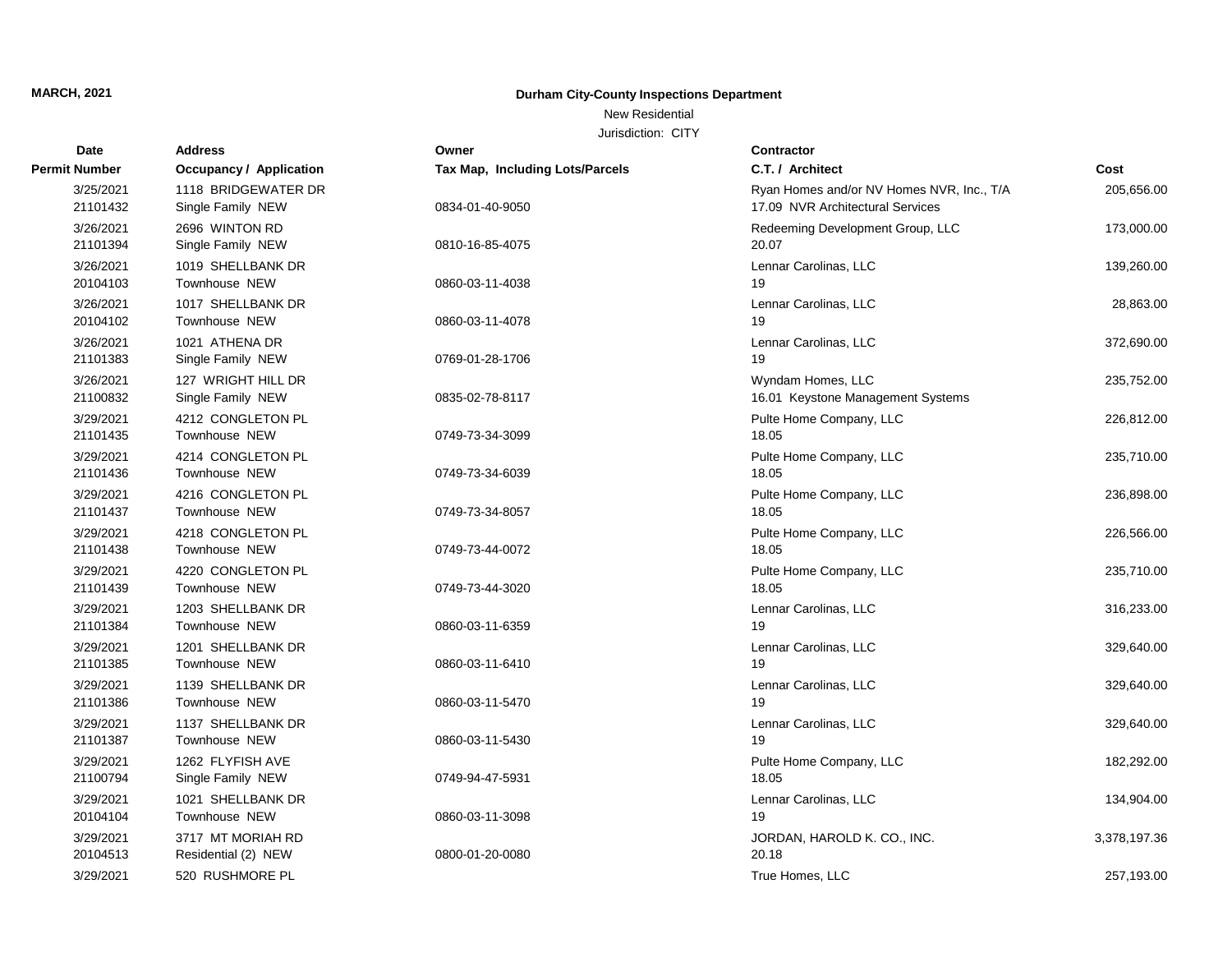## New Residential

| Date                  | <b>Address</b>                            | Owner                           | <b>Contractor</b>                                                             |              |
|-----------------------|-------------------------------------------|---------------------------------|-------------------------------------------------------------------------------|--------------|
| <b>Permit Number</b>  | <b>Occupancy / Application</b>            | Tax Map, Including Lots/Parcels | C.T. / Architect                                                              | Cost         |
| 3/25/2021<br>21101432 | 1118 BRIDGEWATER DR<br>Single Family NEW  | 0834-01-40-9050                 | Ryan Homes and/or NV Homes NVR, Inc., T/A<br>17.09 NVR Architectural Services | 205,656.00   |
| 3/26/2021<br>21101394 | 2696 WINTON RD<br>Single Family NEW       | 0810-16-85-4075                 | Redeeming Development Group, LLC<br>20.07                                     | 173,000.00   |
| 3/26/2021<br>20104103 | 1019 SHELLBANK DR<br>Townhouse NEW        | 0860-03-11-4038                 | Lennar Carolinas, LLC<br>19                                                   | 139,260.00   |
| 3/26/2021<br>20104102 | 1017 SHELLBANK DR<br>Townhouse NEW        | 0860-03-11-4078                 | Lennar Carolinas, LLC<br>19                                                   | 28,863.00    |
| 3/26/2021<br>21101383 | 1021 ATHENA DR<br>Single Family NEW       | 0769-01-28-1706                 | Lennar Carolinas, LLC<br>19                                                   | 372,690.00   |
| 3/26/2021<br>21100832 | 127 WRIGHT HILL DR<br>Single Family NEW   | 0835-02-78-8117                 | Wyndam Homes, LLC<br>16.01 Keystone Management Systems                        | 235,752.00   |
| 3/29/2021<br>21101435 | 4212 CONGLETON PL<br><b>Townhouse NEW</b> | 0749-73-34-3099                 | Pulte Home Company, LLC<br>18.05                                              | 226,812.00   |
| 3/29/2021<br>21101436 | 4214 CONGLETON PL<br>Townhouse NEW        | 0749-73-34-6039                 | Pulte Home Company, LLC<br>18.05                                              | 235,710.00   |
| 3/29/2021<br>21101437 | 4216 CONGLETON PL<br>Townhouse NEW        | 0749-73-34-8057                 | Pulte Home Company, LLC<br>18.05                                              | 236,898.00   |
| 3/29/2021<br>21101438 | 4218 CONGLETON PL<br><b>Townhouse NEW</b> | 0749-73-44-0072                 | Pulte Home Company, LLC<br>18.05                                              | 226,566.00   |
| 3/29/2021<br>21101439 | 4220 CONGLETON PL<br><b>Townhouse NEW</b> | 0749-73-44-3020                 | Pulte Home Company, LLC<br>18.05                                              | 235,710.00   |
| 3/29/2021<br>21101384 | 1203 SHELLBANK DR<br>Townhouse NEW        | 0860-03-11-6359                 | Lennar Carolinas, LLC<br>19                                                   | 316,233.00   |
| 3/29/2021<br>21101385 | 1201 SHELLBANK DR<br><b>Townhouse NEW</b> | 0860-03-11-6410                 | Lennar Carolinas, LLC<br>19                                                   | 329,640.00   |
| 3/29/2021<br>21101386 | 1139 SHELLBANK DR<br>Townhouse NEW        | 0860-03-11-5470                 | Lennar Carolinas, LLC<br>19                                                   | 329,640.00   |
| 3/29/2021<br>21101387 | 1137 SHELLBANK DR<br>Townhouse NEW        | 0860-03-11-5430                 | Lennar Carolinas, LLC<br>19                                                   | 329,640.00   |
| 3/29/2021<br>21100794 | 1262 FLYFISH AVE<br>Single Family NEW     | 0749-94-47-5931                 | Pulte Home Company, LLC<br>18.05                                              | 182,292.00   |
| 3/29/2021<br>20104104 | 1021 SHELLBANK DR<br><b>Townhouse NEW</b> | 0860-03-11-3098                 | Lennar Carolinas, LLC<br>19                                                   | 134,904.00   |
| 3/29/2021<br>20104513 | 3717 MT MORIAH RD<br>Residential (2) NEW  | 0800-01-20-0080                 | JORDAN, HAROLD K. CO., INC.<br>20.18                                          | 3,378,197.36 |
| 3/29/2021             | 520 RUSHMORE PL                           |                                 | True Homes, LLC                                                               | 257,193.00   |